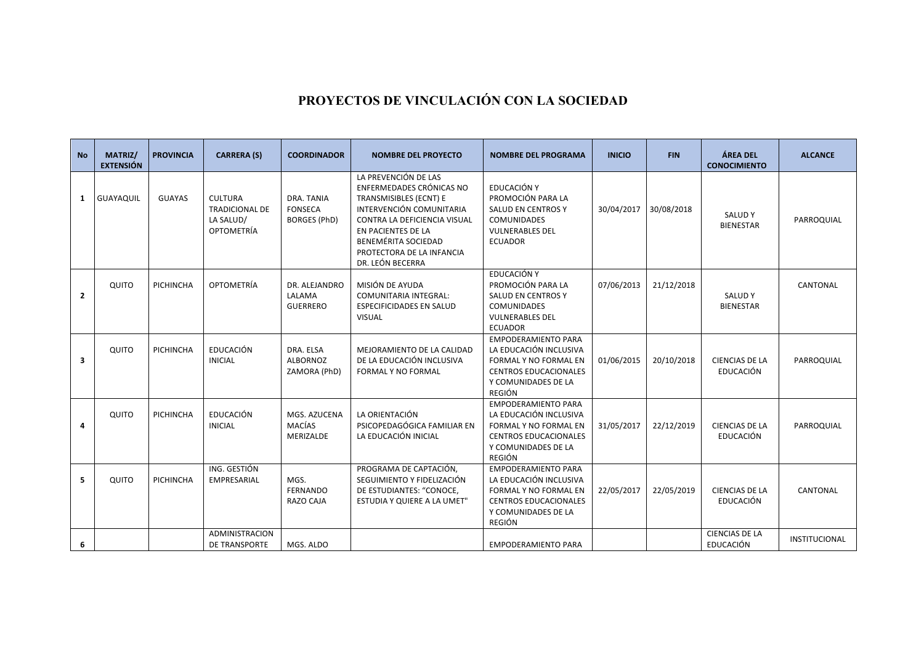## **PROYECTOS DE VINCULACIÓN CON LA SOCIEDAD**

| <b>No</b>    | <b>MATRIZ/</b><br><b>EXTENSIÓN</b> | <b>PROVINCIA</b> | <b>CARRERA (S)</b>                                                        | <b>COORDINADOR</b>                                  | <b>NOMBRE DEL PROYECTO</b>                                                                                                                                                                                                           | <b>NOMBRE DEL PROGRAMA</b>                                                                                                                            | <b>INICIO</b> | <b>FIN</b> | ÁREA DEL<br><b>CONOCIMIENTO</b>           | <b>ALCANCE</b> |
|--------------|------------------------------------|------------------|---------------------------------------------------------------------------|-----------------------------------------------------|--------------------------------------------------------------------------------------------------------------------------------------------------------------------------------------------------------------------------------------|-------------------------------------------------------------------------------------------------------------------------------------------------------|---------------|------------|-------------------------------------------|----------------|
| 1            | GUAYAQUIL                          | <b>GUAYAS</b>    | <b>CULTURA</b><br><b>TRADICIONAL DE</b><br>LA SALUD/<br><b>OPTOMETRÍA</b> | DRA. TANIA<br><b>FONSECA</b><br><b>BORGES (PhD)</b> | LA PREVENCIÓN DE LAS<br>ENFERMEDADES CRÓNICAS NO<br>TRANSMISIBLES (ECNT) E<br>INTERVENCIÓN COMUNITARIA<br>CONTRA LA DEFICIENCIA VISUAL<br>EN PACIENTES DE LA<br>BENEMÉRITA SOCIEDAD<br>PROTECTORA DE LA INFANCIA<br>DR. LEÓN BECERRA | EDUCACIÓN Y<br>PROMOCIÓN PARA LA<br><b>SALUD EN CENTROS Y</b><br><b>COMUNIDADES</b><br><b>VULNERABLES DEL</b><br><b>ECUADOR</b>                       | 30/04/2017    | 30/08/2018 | SALUD Y<br><b>BIENESTAR</b>               | PARROQUIAL     |
| $\mathbf{2}$ | QUITO                              | PICHINCHA        | OPTOMETRÍA                                                                | DR. ALEJANDRO<br>LALAMA<br><b>GUERRERO</b>          | MISIÓN DE AYUDA<br><b>COMUNITARIA INTEGRAL:</b><br><b>ESPECIFICIDADES EN SALUD</b><br><b>VISUAL</b>                                                                                                                                  | EDUCACIÓN Y<br>PROMOCIÓN PARA LA<br><b>SALUD EN CENTROS Y</b><br><b>COMUNIDADES</b><br><b>VULNERABLES DEL</b><br><b>ECUADOR</b>                       | 07/06/2013    | 21/12/2018 | <b>SALUDY</b><br><b>BIENESTAR</b>         | CANTONAL       |
| 3            | QUITO                              | PICHINCHA        | <b>EDUCACIÓN</b><br><b>INICIAL</b>                                        | DRA. ELSA<br><b>ALBORNOZ</b><br>ZAMORA (PhD)        | MEJORAMIENTO DE LA CALIDAD<br>DE LA EDUCACIÓN INCLUSIVA<br>FORMAL Y NO FORMAL                                                                                                                                                        | <b>EMPODERAMIENTO PARA</b><br>LA EDUCACIÓN INCLUSIVA<br><b>FORMAL Y NO FORMAL EN</b><br><b>CENTROS EDUCACIONALES</b><br>Y COMUNIDADES DE LA<br>REGIÓN | 01/06/2015    | 20/10/2018 | <b>CIENCIAS DE LA</b><br>EDUCACIÓN        | PARROQUIAL     |
| 4            | QUITO                              | PICHINCHA        | <b>EDUCACIÓN</b><br><b>INICIAL</b>                                        | MGS. AZUCENA<br><b>MACÍAS</b><br>MERIZALDE          | LA ORIENTACIÓN<br>PSICOPEDAGÓGICA FAMILIAR EN<br>LA EDUCACIÓN INICIAL                                                                                                                                                                | <b>EMPODERAMIENTO PARA</b><br>LA EDUCACIÓN INCLUSIVA<br><b>FORMAL Y NO FORMAL EN</b><br><b>CENTROS EDUCACIONALES</b><br>Y COMUNIDADES DE LA<br>REGIÓN | 31/05/2017    | 22/12/2019 | <b>CIENCIAS DE LA</b><br>EDUCACIÓN        | PARROQUIAL     |
| 5            | QUITO                              | PICHINCHA        | ING. GESTIÓN<br>EMPRESARIAL                                               | MGS.<br><b>FERNANDO</b><br>RAZO CAJA                | PROGRAMA DE CAPTACIÓN,<br>SEGUIMIENTO Y FIDELIZACIÓN<br>DE ESTUDIANTES: "CONOCE,<br>ESTUDIA Y QUIERE A LA UMET"                                                                                                                      | <b>EMPODERAMIENTO PARA</b><br>LA EDUCACIÓN INCLUSIVA<br>FORMAL Y NO FORMAL EN<br><b>CENTROS EDUCACIONALES</b><br>Y COMUNIDADES DE LA<br>REGIÓN        | 22/05/2017    | 22/05/2019 | <b>CIENCIAS DE LA</b><br>EDUCACIÓN        | CANTONAL       |
| 6            |                                    |                  | ADMINISTRACION<br><b>DE TRANSPORTE</b>                                    | MGS. ALDO                                           |                                                                                                                                                                                                                                      | <b>EMPODERAMIENTO PARA</b>                                                                                                                            |               |            | <b>CIENCIAS DE LA</b><br><b>EDUCACIÓN</b> | INSTITUCIONAL  |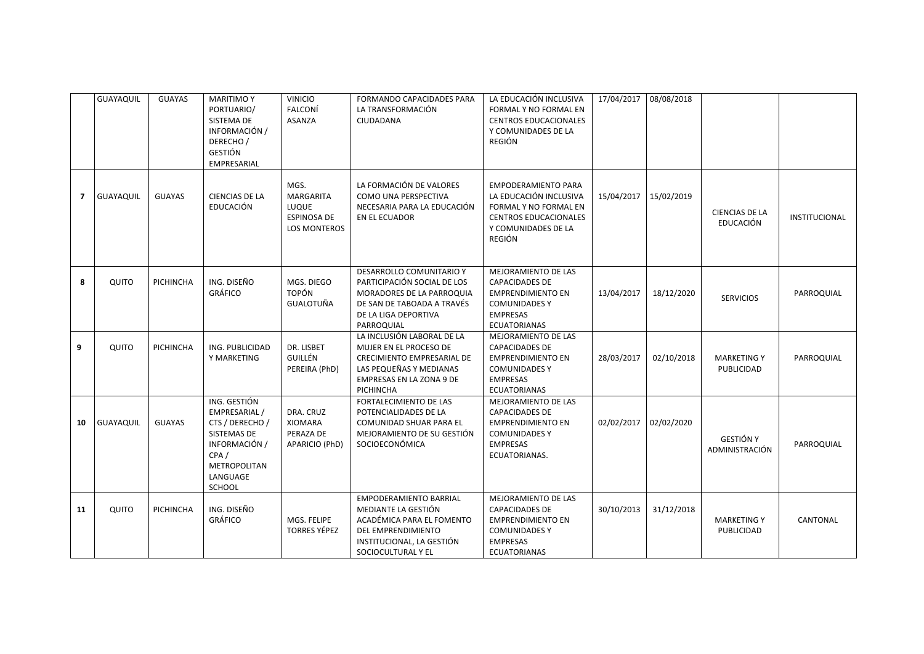|    | GUAYAQUIL | <b>GUAYAS</b>    | <b>MARITIMO Y</b><br>PORTUARIO/<br>SISTEMA DE<br>INFORMACIÓN /<br>DERECHO/<br><b>GESTIÓN</b><br>EMPRESARIAL                           | <b>VINICIO</b><br>FALCONÍ<br><b>ASANZA</b>                              | FORMANDO CAPACIDADES PARA<br>LA TRANSFORMACIÓN<br>CIUDADANA                                                                                                | LA EDUCACIÓN INCLUSIVA<br>FORMAL Y NO FORMAL EN<br><b>CENTROS EDUCACIONALES</b><br>Y COMUNIDADES DE LA<br>REGIÓN                                      | 17/04/2017 | 08/08/2018 |                                    |               |
|----|-----------|------------------|---------------------------------------------------------------------------------------------------------------------------------------|-------------------------------------------------------------------------|------------------------------------------------------------------------------------------------------------------------------------------------------------|-------------------------------------------------------------------------------------------------------------------------------------------------------|------------|------------|------------------------------------|---------------|
| 7  | GUAYAQUIL | <b>GUAYAS</b>    | <b>CIENCIAS DE LA</b><br><b>EDUCACIÓN</b>                                                                                             | MGS.<br>MARGARITA<br>LUQUE<br><b>ESPINOSA DE</b><br><b>LOS MONTEROS</b> | LA FORMACIÓN DE VALORES<br>COMO UNA PERSPECTIVA<br>NECESARIA PARA LA EDUCACIÓN<br>EN EL ECUADOR                                                            | <b>EMPODERAMIENTO PARA</b><br>LA EDUCACIÓN INCLUSIVA<br>FORMAL Y NO FORMAL EN<br><b>CENTROS EDUCACIONALES</b><br>Y COMUNIDADES DE LA<br><b>REGIÓN</b> | 15/04/2017 | 15/02/2019 | <b>CIENCIAS DE LA</b><br>EDUCACIÓN | INSTITUCIONAL |
| 8  | QUITO     | <b>PICHINCHA</b> | ING. DISEÑO<br><b>GRÁFICO</b>                                                                                                         | MGS. DIEGO<br><b>TOPÓN</b><br><b>GUALOTUÑA</b>                          | DESARROLLO COMUNITARIO Y<br>PARTICIPACIÓN SOCIAL DE LOS<br>MORADORES DE LA PARROQUIA<br>DE SAN DE TABOADA A TRAVÉS<br>DE LA LIGA DEPORTIVA<br>PARROQUIAL   | MEJORAMIENTO DE LAS<br><b>CAPACIDADES DE</b><br><b>EMPRENDIMIENTO EN</b><br><b>COMUNIDADES Y</b><br><b>EMPRESAS</b><br><b>ECUATORIANAS</b>            | 13/04/2017 | 18/12/2020 | <b>SERVICIOS</b>                   | PARROQUIAL    |
| 9  | QUITO     | PICHINCHA        | ING. PUBLICIDAD<br>Y MARKETING                                                                                                        | DR. LISBET<br>GUILLÉN<br>PEREIRA (PhD)                                  | LA INCLUSIÓN LABORAL DE LA<br>MUJER EN EL PROCESO DE<br>CRECIMIENTO EMPRESARIAL DE<br>LAS PEQUEÑAS Y MEDIANAS<br>EMPRESAS EN LA ZONA 9 DE<br>PICHINCHA     | <b>MEJORAMIENTO DE LAS</b><br><b>CAPACIDADES DE</b><br><b>EMPRENDIMIENTO EN</b><br><b>COMUNIDADES Y</b><br><b>EMPRESAS</b><br><b>ECUATORIANAS</b>     | 28/03/2017 | 02/10/2018 | <b>MARKETING Y</b><br>PUBLICIDAD   | PARROQUIAL    |
| 10 | GUAYAQUIL | <b>GUAYAS</b>    | ING. GESTIÓN<br>EMPRESARIAL /<br>CTS / DERECHO /<br>SISTEMAS DE<br>INFORMACIÓN /<br>CPA/<br><b>METROPOLITAN</b><br>LANGUAGE<br>SCHOOL | DRA. CRUZ<br>XIOMARA<br>PERAZA DE<br>APARICIO (PhD)                     | FORTALECIMIENTO DE LAS<br>POTENCIALIDADES DE LA<br>COMUNIDAD SHUAR PARA EL<br>MEJORAMIENTO DE SU GESTIÓN<br>SOCIOECONÓMICA                                 | MEJORAMIENTO DE LAS<br><b>CAPACIDADES DE</b><br><b>EMPRENDIMIENTO EN</b><br><b>COMUNIDADES Y</b><br><b>EMPRESAS</b><br>ECUATORIANAS.                  | 02/02/2017 | 02/02/2020 | <b>GESTIÓN Y</b><br>ADMINISTRACIÓN | PARROQUIAL    |
| 11 | QUITO     | PICHINCHA        | ING. DISEÑO<br><b>GRÁFICO</b>                                                                                                         | MGS. FELIPE<br><b>TORRES YÉPEZ</b>                                      | <b>EMPODERAMIENTO BARRIAL</b><br>MEDIANTE LA GESTIÓN<br>ACADÉMICA PARA EL FOMENTO<br>DEL EMPRENDIMIENTO<br>INSTITUCIONAL, LA GESTIÓN<br>SOCIOCULTURAL Y EL | MEJORAMIENTO DE LAS<br><b>CAPACIDADES DE</b><br><b>EMPRENDIMIENTO EN</b><br><b>COMUNIDADES Y</b><br><b>EMPRESAS</b><br><b>ECUATORIANAS</b>            | 30/10/2013 | 31/12/2018 | <b>MARKETING Y</b><br>PUBLICIDAD   | CANTONAL      |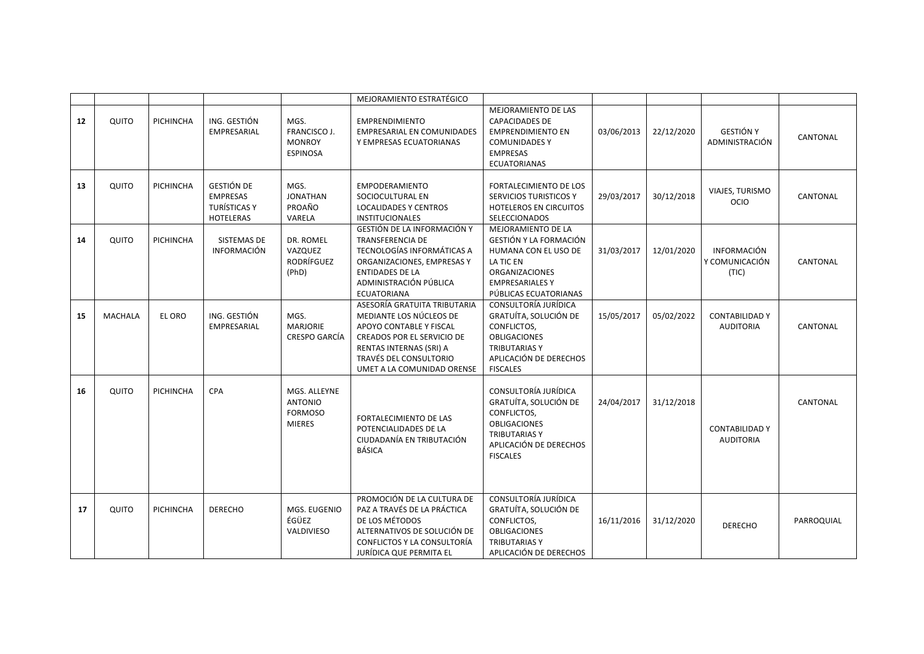|    |                |                  |                                                                                 |                                                                   | MEJORAMIENTO ESTRATÉGICO                                                                                                                                                                            |                                                                                                                                                               |            |            |                                               |            |
|----|----------------|------------------|---------------------------------------------------------------------------------|-------------------------------------------------------------------|-----------------------------------------------------------------------------------------------------------------------------------------------------------------------------------------------------|---------------------------------------------------------------------------------------------------------------------------------------------------------------|------------|------------|-----------------------------------------------|------------|
| 12 | QUITO          | PICHINCHA        | ING. GESTIÓN<br>EMPRESARIAL                                                     | MGS.<br>FRANCISCO J.<br><b>MONROY</b><br><b>ESPINOSA</b>          | <b>EMPRENDIMIENTO</b><br><b>EMPRESARIAL EN COMUNIDADES</b><br>Y EMPRESAS ECUATORIANAS                                                                                                               | <b>MEJORAMIENTO DE LAS</b><br><b>CAPACIDADES DE</b><br><b>EMPRENDIMIENTO EN</b><br><b>COMUNIDADES Y</b><br><b>EMPRESAS</b><br><b>ECUATORIANAS</b>             | 03/06/2013 | 22/12/2020 | <b>GESTIÓN Y</b><br>ADMINISTRACIÓN            | CANTONAL   |
| 13 | QUITO          | <b>PICHINCHA</b> | <b>GESTIÓN DE</b><br><b>EMPRESAS</b><br><b>TURÍSTICAS Y</b><br><b>HOTELERAS</b> | MGS.<br><b>JONATHAN</b><br>PROAÑO<br>VARELA                       | <b>EMPODERAMIENTO</b><br>SOCIOCULTURAL EN<br><b>LOCALIDADES Y CENTROS</b><br><b>INSTITUCIONALES</b>                                                                                                 | FORTALECIMIENTO DE LOS<br>SERVICIOS TURISTICOS Y<br><b>HOTELEROS EN CIRCUITOS</b><br>SELECCIONADOS                                                            | 29/03/2017 | 30/12/2018 | VIAJES, TURISMO<br><b>OCIO</b>                | CANTONAL   |
| 14 | QUITO          | <b>PICHINCHA</b> | <b>SISTEMAS DE</b><br><b>INFORMACIÓN</b>                                        | DR. ROMEL<br>VAZQUEZ<br>RODRÍFGUEZ<br>(PhD)                       | GESTIÓN DE LA INFORMACIÓN Y<br><b>TRANSFERENCIA DE</b><br>TECNOLOGÍAS INFORMÁTICAS A<br>ORGANIZACIONES, EMPRESAS Y<br><b>ENTIDADES DE LA</b><br>ADMINISTRACIÓN PÚBLICA<br><b>ECUATORIANA</b>        | MEJORAMIENTO DE LA<br>GESTIÓN Y LA FORMACIÓN<br>HUMANA CON EL USO DE<br>LA TIC EN<br><b>ORGANIZACIONES</b><br><b>EMPRESARIALES Y</b><br>PÚBLICAS ECUATORIANAS | 31/03/2017 | 12/01/2020 | <b>INFORMACIÓN</b><br>Y COMUNICACIÓN<br>(TIC) | CANTONAL   |
| 15 | <b>MACHALA</b> | EL ORO           | ING. GESTIÓN<br>EMPRESARIAL                                                     | MGS.<br><b>MARJORIE</b><br><b>CRESPO GARCÍA</b>                   | ASESORÍA GRATUITA TRIBUTARIA<br>MEDIANTE LOS NÚCLEOS DE<br>APOYO CONTABLE Y FISCAL<br>CREADOS POR EL SERVICIO DE<br>RENTAS INTERNAS (SRI) A<br>TRAVÉS DEL CONSULTORIO<br>UMET A LA COMUNIDAD ORENSE | CONSULTORÍA JURÍDICA<br>GRATUÍTA, SOLUCIÓN DE<br>CONFLICTOS,<br><b>OBLIGACIONES</b><br><b>TRIBUTARIAS Y</b><br>APLICACIÓN DE DERECHOS<br><b>FISCALES</b>      | 15/05/2017 | 05/02/2022 | <b>CONTABILIDAD Y</b><br><b>AUDITORIA</b>     | CANTONAL   |
| 16 | QUITO          | PICHINCHA        | CPA                                                                             | MGS. ALLEYNE<br><b>ANTONIO</b><br><b>FORMOSO</b><br><b>MIERES</b> | FORTALECIMIENTO DE LAS<br>POTENCIALIDADES DE LA<br>CIUDADANÍA EN TRIBUTACIÓN<br><b>BÁSICA</b>                                                                                                       | CONSULTORÍA JURÍDICA<br>GRATUÍTA, SOLUCIÓN DE<br>CONFLICTOS.<br><b>OBLIGACIONES</b><br><b>TRIBUTARIAS Y</b><br>APLICACIÓN DE DERECHOS<br><b>FISCALES</b>      | 24/04/2017 | 31/12/2018 | <b>CONTABILIDAD Y</b><br><b>AUDITORIA</b>     | CANTONAL   |
| 17 | QUITO          | PICHINCHA        | <b>DERECHO</b>                                                                  | MGS. EUGENIO<br>ÉGÜEZ<br>VALDIVIESO                               | PROMOCIÓN DE LA CULTURA DE<br>PAZ A TRAVÉS DE LA PRÁCTICA<br>DE LOS MÉTODOS<br>ALTERNATIVOS DE SOLUCIÓN DE<br>CONFLICTOS Y LA CONSULTORÍA<br>JURÍDICA QUE PERMITA EL                                | CONSULTORÍA JURÍDICA<br>GRATUÍTA, SOLUCIÓN DE<br>CONFLICTOS,<br><b>OBLIGACIONES</b><br><b>TRIBUTARIAS Y</b><br>APLICACIÓN DE DERECHOS                         | 16/11/2016 | 31/12/2020 | <b>DERECHO</b>                                | PARROQUIAL |